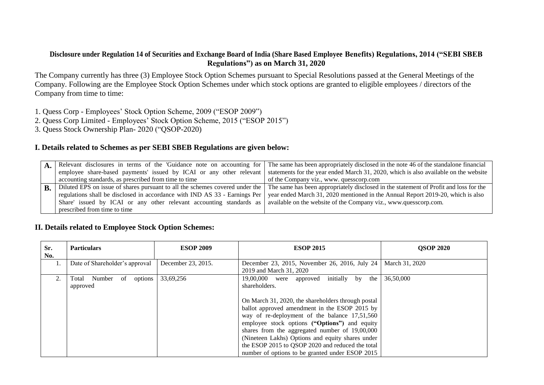## **Disclosure under Regulation 14 of Securities and Exchange Board of India (Share Based Employee Benefits) Regulations, 2014 ("SEBI SBEB Regulations") as on March 31, 2020**

The Company currently has three (3) Employee Stock Option Schemes pursuant to Special Resolutions passed at the General Meetings of the Company. Following are the Employee Stock Option Schemes under which stock options are granted to eligible employees / directors of the Company from time to time:

1. Quess Corp - Employees' Stock Option Scheme, 2009 ("ESOP 2009")

- 2. Quess Corp Limited Employees' Stock Option Scheme, 2015 ("ESOP 2015")
- 3. Quess Stock Ownership Plan- 2020 ("QSOP-2020)

## **I. Details related to Schemes as per SEBI SBEB Regulations are given below:**

| $\mathbf{A}$ |                                                                            | Relevant disclosures in terms of the 'Guidance note on accounting for The same has been appropriately disclosed in the note 46 of the standalone financial         |
|--------------|----------------------------------------------------------------------------|--------------------------------------------------------------------------------------------------------------------------------------------------------------------|
|              | employee share-based payments' issued by ICAI or any other relevant        | statements for the year ended March 31, 2020, which is also available on the website                                                                               |
|              | accounting standards, as prescribed from time to time                      | of the Company viz., www. quesscorp.com                                                                                                                            |
| $\bf{B}$     |                                                                            | Diluted EPS on issue of shares pursuant to all the schemes covered under the The same has been appropriately disclosed in the statement of Profit and loss for the |
|              | regulations shall be disclosed in accordance with IND AS 33 - Earnings Per | year ended March 31, 2020 mentioned in the Annual Report 2019-20, which is also                                                                                    |
|              | Share' issued by ICAI or any other relevant accounting standards as        | available on the website of the Company viz., www.quesscorp.com.                                                                                                   |
|              | prescribed from time to time                                               |                                                                                                                                                                    |

# **II. Details related to Employee Stock Option Schemes:**

| Sr.<br>No. | <b>Particulars</b>                           | <b>ESOP 2009</b>   | <b>ESOP 2015</b>                                                                                                                                                                                                                                                                                            | <b>QSOP 2020</b> |
|------------|----------------------------------------------|--------------------|-------------------------------------------------------------------------------------------------------------------------------------------------------------------------------------------------------------------------------------------------------------------------------------------------------------|------------------|
|            | Date of Shareholder's approval               | December 23, 2015. | December 23, 2015, November 26, 2016, July 24<br>2019 and March 31, 2020                                                                                                                                                                                                                                    | March 31, 2020   |
| 2.         | of<br>Number<br>options<br>Total<br>approved | 33,69,256          | initially by<br>19,00,000 were<br>the<br>approved<br>shareholders.<br>On March 31, 2020, the shareholders through postal<br>ballot approved amendment in the ESOP 2015 by                                                                                                                                   | 36,50,000        |
|            |                                              |                    | way of re-deployment of the balance 17,51,560<br>employee stock options ("Options") and equity<br>shares from the aggregated number of 19,00,000<br>(Nineteen Lakhs) Options and equity shares under<br>the ESOP 2015 to QSOP 2020 and reduced the total<br>number of options to be granted under ESOP 2015 |                  |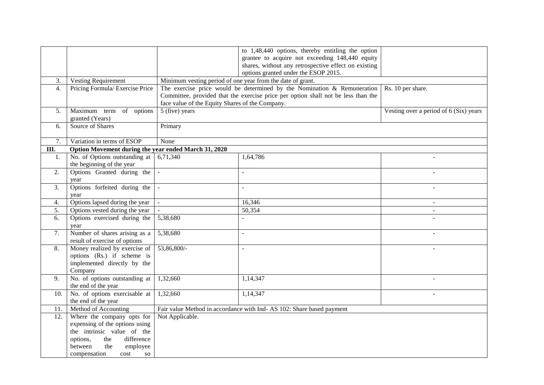|                |                                                      |                                                                      | to 1,48,440 options, thereby entitling the option                                 |                                        |
|----------------|------------------------------------------------------|----------------------------------------------------------------------|-----------------------------------------------------------------------------------|----------------------------------------|
|                |                                                      |                                                                      | grantee to acquire not exceeding 148,440 equity                                   |                                        |
|                |                                                      |                                                                      | shares, without any retrospective effect on existing                              |                                        |
|                |                                                      |                                                                      | options granted under the ESOP 2015.                                              |                                        |
| 3.             | <b>Vesting Requirement</b>                           |                                                                      | Minimum vesting period of one year from the date of grant.                        |                                        |
| 4.             | Pricing Formula/ Exercise Price                      |                                                                      | The exercise price would be determined by the Nomination $\&$ Remuneration        | Rs. 10 per share.                      |
|                |                                                      |                                                                      | Committee, provided that the exercise price per option shall not be less than the |                                        |
|                |                                                      | face value of the Equity Shares of the Company.                      |                                                                                   |                                        |
| 5 <sub>1</sub> | Maximum term of options                              | 5 (five) years                                                       |                                                                                   | Vesting over a period of 6 (Six) years |
|                | granted (Years)                                      |                                                                      |                                                                                   |                                        |
| 6.             | Source of Shares                                     | Primary                                                              |                                                                                   |                                        |
|                |                                                      |                                                                      |                                                                                   |                                        |
| 7.             | Variation in terms of ESOP                           | None                                                                 |                                                                                   |                                        |
| III.           | Option Movement during the year ended March 31, 2020 |                                                                      |                                                                                   |                                        |
| 1.             | No. of Options outstanding at                        | 6,71,340                                                             | 1,64,786                                                                          |                                        |
|                | the beginning of the year                            |                                                                      |                                                                                   |                                        |
| 2.             | Options Granted during the                           | $\omega$                                                             | ÷.                                                                                |                                        |
|                | year                                                 |                                                                      |                                                                                   |                                        |
| 3.             | Options forfeited during the                         | $\blacksquare$                                                       |                                                                                   |                                        |
|                | year                                                 |                                                                      |                                                                                   |                                        |
| 4.             | Options lapsed during the year                       | $\mathbb{R}^{\mathbb{Z}}$                                            | 16,346                                                                            | $\mathbf{r}$                           |
| 5.             | Options vested during the year                       |                                                                      | 50,354                                                                            | $\blacksquare$                         |
| 6.             | Options exercised during the                         | 5,38,680                                                             |                                                                                   |                                        |
|                | year                                                 |                                                                      |                                                                                   |                                        |
| 7.             | Number of shares arising as a                        | 5,38,680                                                             | $\overline{a}$                                                                    |                                        |
|                | result of exercise of options                        |                                                                      |                                                                                   |                                        |
| 8.             | Money realized by exercise of                        | 53,86,800/-                                                          | $\overline{a}$                                                                    |                                        |
|                | options (Rs.) if scheme is                           |                                                                      |                                                                                   |                                        |
|                | implemented directly by the                          |                                                                      |                                                                                   |                                        |
|                | Company                                              |                                                                      |                                                                                   |                                        |
| 9.             | No. of options outstanding at                        | 1,32,660                                                             | 1,14,347                                                                          |                                        |
|                | the end of the year                                  |                                                                      |                                                                                   |                                        |
| 10.            | No. of options exercisable at                        | 1,32,660                                                             | 1,14,347                                                                          |                                        |
|                | the end of the year                                  |                                                                      |                                                                                   |                                        |
| 11.            | Method of Accounting                                 | Fair value Method in accordance with Ind-AS 102: Share based payment |                                                                                   |                                        |
| 12.            | Where the company opts for                           | Not Applicable.                                                      |                                                                                   |                                        |
|                | expensing of the options using                       |                                                                      |                                                                                   |                                        |
|                | the intrinsic value of the                           |                                                                      |                                                                                   |                                        |
|                | options,<br>difference<br>the                        |                                                                      |                                                                                   |                                        |
|                | the<br>between<br>employee                           |                                                                      |                                                                                   |                                        |
|                | compensation<br>cost<br><b>SO</b>                    |                                                                      |                                                                                   |                                        |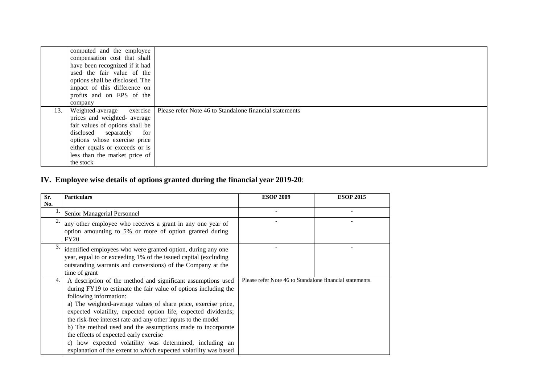|     | computed and the employee       |                                                         |
|-----|---------------------------------|---------------------------------------------------------|
|     |                                 |                                                         |
|     | compensation cost that shall    |                                                         |
|     | have been recognized if it had  |                                                         |
|     | used the fair value of the      |                                                         |
|     | options shall be disclosed. The |                                                         |
|     | impact of this difference on    |                                                         |
|     | profits and on EPS of the       |                                                         |
|     | company                         |                                                         |
| 13. | Weighted-average exercise       | Please refer Note 46 to Standalone financial statements |
|     | prices and weighted- average    |                                                         |
|     | fair values of options shall be |                                                         |
|     | disclosed separately for        |                                                         |
|     | options whose exercise price    |                                                         |
|     | either equals or exceeds or is  |                                                         |
|     | less than the market price of   |                                                         |
|     | the stock                       |                                                         |

# **IV. Employee wise details of options granted during the financial year 2019-20**:

| Sr.<br>No. | <b>Particulars</b>                                                                                                                                                                                                                                                                                                                                                                                                                                                                                                                                                                                    | <b>ESOP 2009</b>                                         | <b>ESOP 2015</b> |
|------------|-------------------------------------------------------------------------------------------------------------------------------------------------------------------------------------------------------------------------------------------------------------------------------------------------------------------------------------------------------------------------------------------------------------------------------------------------------------------------------------------------------------------------------------------------------------------------------------------------------|----------------------------------------------------------|------------------|
|            | Senior Managerial Personnel                                                                                                                                                                                                                                                                                                                                                                                                                                                                                                                                                                           |                                                          |                  |
|            | any other employee who receives a grant in any one year of<br>option amounting to 5% or more of option granted during<br>FY20                                                                                                                                                                                                                                                                                                                                                                                                                                                                         |                                                          |                  |
|            | identified employees who were granted option, during any one<br>year, equal to or exceeding 1% of the issued capital (excluding<br>outstanding warrants and conversions) of the Company at the<br>time of grant                                                                                                                                                                                                                                                                                                                                                                                       |                                                          |                  |
| 4.         | A description of the method and significant assumptions used<br>during FY19 to estimate the fair value of options including the<br>following information:<br>a) The weighted-average values of share price, exercise price,<br>expected volatility, expected option life, expected dividends;<br>the risk-free interest rate and any other inputs to the model<br>b) The method used and the assumptions made to incorporate<br>the effects of expected early exercise<br>c) how expected volatility was determined, including an<br>explanation of the extent to which expected volatility was based | Please refer Note 46 to Standalone financial statements. |                  |